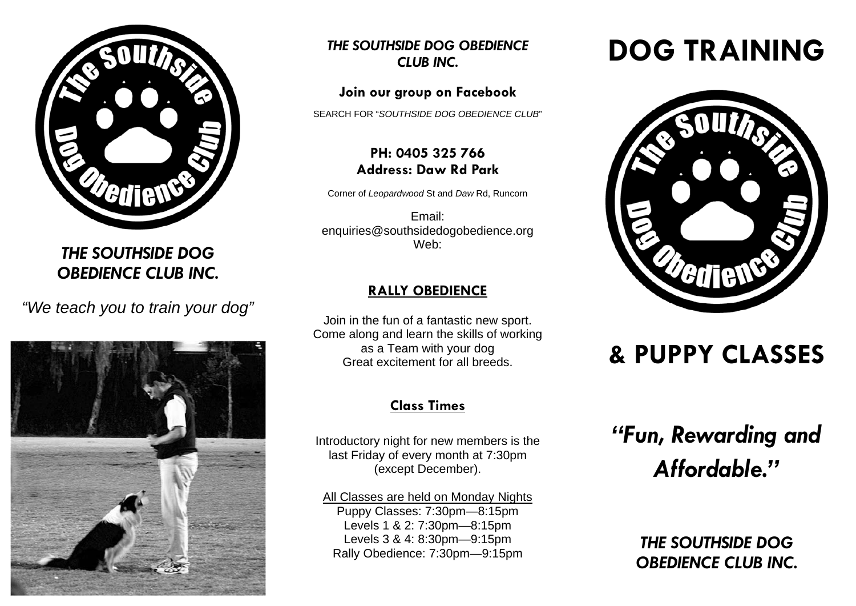

*THE SOUTHSIDE DOG OBEDIENCE CLUB INC.* 

*"We teach you to train your dog"* 



*THE SOUTHSIDE DOG OBEDIENCE CLUB INC.* 

## **Join our group on Facebook**

SEARCH FOR "*SOUTHSIDE DOG OBEDIENCE CLUB*"

# **PH: 0405 325 766 Address: Daw Rd Park**

Corner of *Leopardwood* St and *Daw* Rd, Runcorn

Email: enquiries@southsidedogobedience.org Web:

# **RALLY OBEDIENCE**

Join in the fun of a fantastic new sport. Come along and learn the skills of working as a Team with your dog Great excitement for all breeds.

# **Class Times**

Introductory night for new members is the last Friday of every month at 7:30pm (except December).

All Classes are held on Monday Nights Puppy Classes: 7:30pm—8:15pm Levels 1 & 2: 7:30pm—8:15pm Levels 3 & 4: 8:30pm—9:15pm Rally Obedience: 7:30pm—9:15pm

# **DOG TRAINING**



# **& PUPPY CLASSES**

*"Fun, Rewarding and Affordable."* 

> *THE SOUTHSIDE DOG OBEDIENCE CLUB INC.*